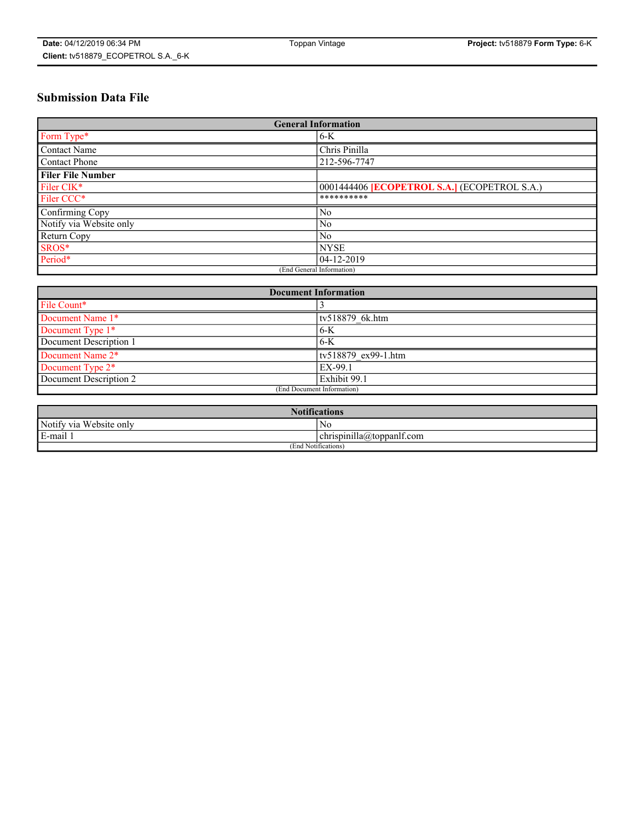# **Submission Data File**

| <b>General Information</b> |                                                     |
|----------------------------|-----------------------------------------------------|
| Form Type*                 | $6-K$                                               |
| Contact Name               | Chris Pinilla                                       |
| Contact Phone              | 212-596-7747                                        |
| <b>Filer File Number</b>   |                                                     |
| Filer CIK*                 | 0001444406 <b>[ECOPETROL S.A.]</b> (ECOPETROL S.A.) |
| Filer CCC*                 | **********                                          |
| Confirming Copy            | N <sub>0</sub>                                      |
| Notify via Website only    | N <sub>0</sub>                                      |
| Return Copy                | N <sub>0</sub>                                      |
| SROS*                      | <b>NYSE</b>                                         |
| Period*                    | 04-12-2019                                          |
| (End General Information)  |                                                     |

| <b>Document Information</b> |                     |
|-----------------------------|---------------------|
| File Count*                 |                     |
| Document Name 1*            | tv518879 6k.htm     |
| Document Type 1*            | 6-K                 |
| Document Description 1      | $6-K$               |
| Document Name 2*            | tv518879 ex99-1.htm |
| Document Type 2*            | EX-99.1             |
| Document Description 2      | Exhibit 99.1        |
| (End Document Information)  |                     |

| <b>Notifications</b>       |                                 |  |
|----------------------------|---------------------------------|--|
| Notify via<br>Website only | N <sub>0</sub>                  |  |
| $E$ -mail 1                | <br>chrispinilla(a)toppanif.com |  |
| (End Notifications)        |                                 |  |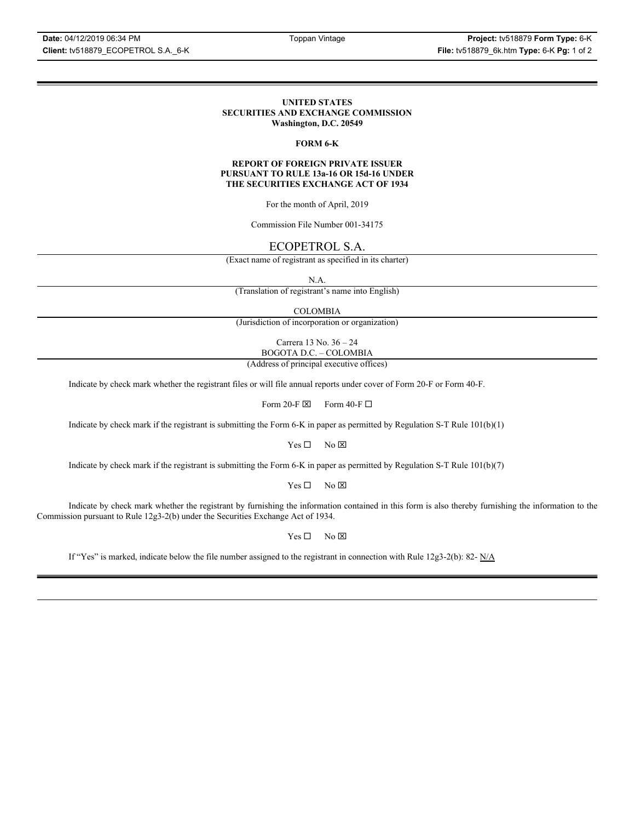### **UNITED STATES SECURITIES AND EXCHANGE COMMISSION Washington, D.C. 20549**

### **FORM 6-K**

### **REPORT OF FOREIGN PRIVATE ISSUER PURSUANT TO RULE 13a-16 OR 15d-16 UNDER THE SECURITIES EXCHANGE ACT OF 1934**

For the month of April, 2019

Commission File Number 001-34175

### ECOPETROL S.A.

(Exact name of registrant as specified in its charter)

N.A.

(Translation of registrant's name into English)

COLOMBIA

(Jurisdiction of incorporation or organization)

Carrera 13 No. 36 – 24 BOGOTA D.C. – COLOMBIA

(Address of principal executive offices)

Indicate by check mark whether the registrant files or will file annual reports under cover of Form 20-F or Form 40-F.

Form 20-F  $\boxtimes$  Form 40-F  $\Box$ 

Indicate by check mark if the registrant is submitting the Form 6-K in paper as permitted by Regulation S-T Rule 101(b)(1)

 $Yes \Box$  No  $\boxtimes$ 

Indicate by check mark if the registrant is submitting the Form 6-K in paper as permitted by Regulation S-T Rule 101(b)(7)

 $Yes \Box$  No  $\boxtimes$ 

Indicate by check mark whether the registrant by furnishing the information contained in this form is also thereby furnishing the information to the Commission pursuant to Rule 12g3-2(b) under the Securities Exchange Act of 1934.

 $Yes \Box$  No  $\boxtimes$ 

If "Yes" is marked, indicate below the file number assigned to the registrant in connection with Rule 12g3-2(b): 82-  $N/A$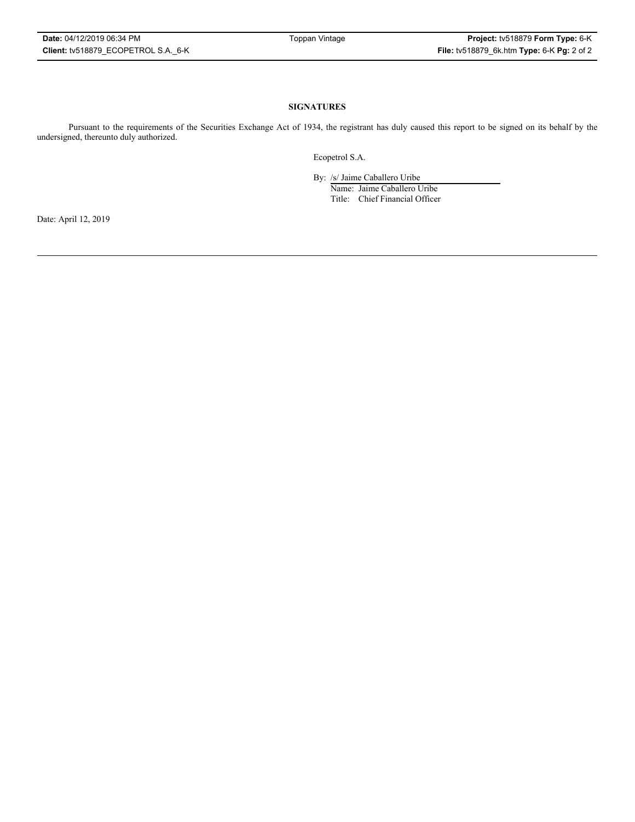### **SIGNATURES**

Pursuant to the requirements of the Securities Exchange Act of 1934, the registrant has duly caused this report to be signed on its behalf by the undersigned, thereunto duly authorized.

Ecopetrol S.A.

By: /s/ Jaime Caballero Uribe

Name: Jaime Caballero Uribe Title: Chief Financial Officer

Date: April 12, 2019